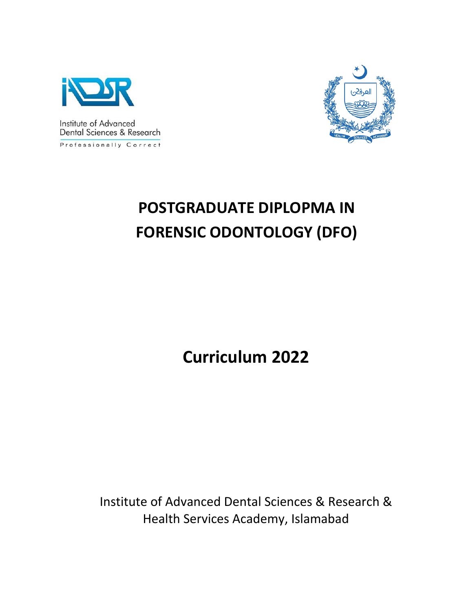



# **POSTGRADUATE DIPLOPMA IN FORENSIC ODONTOLOGY (DFO)**

**Curriculum 2022**

Institute of Advanced Dental Sciences & Research & Health Services Academy, Islamabad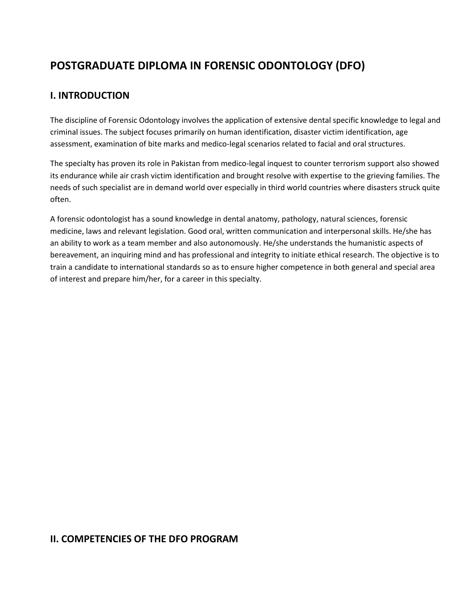## **POSTGRADUATE DIPLOMA IN FORENSIC ODONTOLOGY (DFO)**

## **I. INTRODUCTION**

The discipline of Forensic Odontology involves the application of extensive dental specific knowledge to legal and criminal issues. The subject focuses primarily on human identification, disaster victim identification, age assessment, examination of bite marks and medico-legal scenarios related to facial and oral structures.

The specialty has proven its role in Pakistan from medico-legal inquest to counter terrorism support also showed its endurance while air crash victim identification and brought resolve with expertise to the grieving families. The needs of such specialist are in demand world over especially in third world countries where disasters struck quite often.

A forensic odontologist has a sound knowledge in dental anatomy, pathology, natural sciences, forensic medicine, laws and relevant legislation. Good oral, written communication and interpersonal skills. He/she has an ability to work as a team member and also autonomously. He/she understands the humanistic aspects of bereavement, an inquiring mind and has professional and integrity to initiate ethical research. The objective is to train a candidate to international standards so as to ensure higher competence in both general and special area of interest and prepare him/her, for a career in this specialty.

## **II. COMPETENCIES OF THE DFO PROGRAM**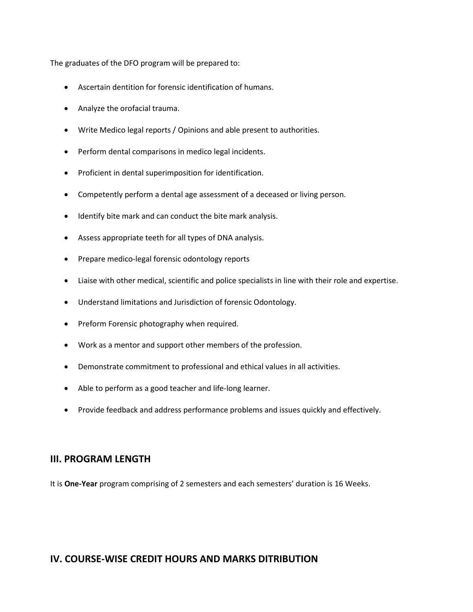The graduates of the DFO program will be prepared to:

- Ascertain dentition for forensic identification of humans.
- Analyze the orofacial trauma.
- Write Medico legal reports / Opinions and able present to authorities.
- Perform dental comparisons in medico legal incidents.
- Proficient in dental superimposition for identification.
- Competently perform a dental age assessment of a deceased or living person.
- Identify bite mark and can conduct the bite mark analysis.
- Assess appropriate teeth for all types of DNA analysis.
- Prepare medico-legal forensic odontology reports
- Liaise with other medical, scientific and police specialists in line with their role and expertise.
- Understand limitations and Jurisdiction of forensic Odontology.
- Preform Forensic photography when required.
- Work as a mentor and support other members of the profession.
- Demonstrate commitment to professional and ethical values in all activities.
- Able to perform as a good teacher and life-long learner.
- Provide feedback and address performance problems and issues quickly and effectively.

#### **III. PROGRAM LENGTH**

It is **One-Year** program comprising of 2 semesters and each semesters' duration is 16 Weeks.

#### **IV. COURSE-WISE CREDIT HOURS AND MARKS DITRIBUTION**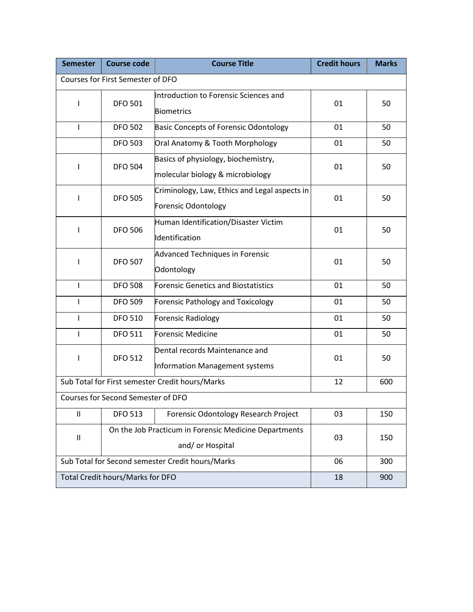| <b>Semester</b>                                  | <b>Course code</b>                                                        | <b>Course Title</b>                                                         | <b>Credit hours</b> | <b>Marks</b> |
|--------------------------------------------------|---------------------------------------------------------------------------|-----------------------------------------------------------------------------|---------------------|--------------|
| Courses for First Semester of DFO                |                                                                           |                                                                             |                     |              |
| I                                                | <b>DFO 501</b>                                                            | Introduction to Forensic Sciences and<br><b>Biometrics</b>                  | 01                  | 50           |
| $\mathbf{I}$                                     | <b>DFO 502</b>                                                            | <b>Basic Concepts of Forensic Odontology</b>                                | 01                  | 50           |
|                                                  | <b>DFO 503</b>                                                            | Oral Anatomy & Tooth Morphology                                             | 01                  | 50           |
| T                                                | <b>DFO 504</b>                                                            | Basics of physiology, biochemistry,<br>molecular biology & microbiology     | 01                  | 50           |
|                                                  | <b>DFO 505</b>                                                            | Criminology, Law, Ethics and Legal aspects in<br><b>Forensic Odontology</b> | 01                  | 50           |
| $\mathbf{I}$                                     | <b>DFO 506</b>                                                            | Human Identification/Disaster Victim<br>Identification                      | 01                  | 50           |
| $\mathbf{I}$                                     | <b>DFO 507</b>                                                            | <b>Advanced Techniques in Forensic</b><br>Odontology                        | 01                  | 50           |
| L                                                | <b>DFO 508</b>                                                            | <b>Forensic Genetics and Biostatistics</b>                                  | 01                  | 50           |
| ı                                                | <b>DFO 509</b>                                                            | Forensic Pathology and Toxicology                                           | 01                  | 50           |
| $\mathbf{I}$                                     | <b>DFO 510</b>                                                            | <b>Forensic Radiology</b>                                                   | 01                  | 50           |
| $\mathbf{I}$                                     | <b>DFO 511</b>                                                            | Forensic Medicine                                                           | 01                  | 50           |
| T                                                | <b>DFO 512</b>                                                            | Dental records Maintenance and<br>Information Management systems            | 01                  | 50           |
| Sub Total for First semester Credit hours/Marks  |                                                                           |                                                                             | 12                  | 600          |
| Courses for Second Semester of DFO               |                                                                           |                                                                             |                     |              |
| $\ensuremath{\mathsf{II}}$                       | <b>DFO 513</b>                                                            | Forensic Odontology Research Project                                        | 03                  | 150          |
| $\ensuremath{\mathsf{II}}$                       | On the Job Practicum in Forensic Medicine Departments<br>and/ or Hospital |                                                                             | 03                  | 150          |
| Sub Total for Second semester Credit hours/Marks |                                                                           |                                                                             | 06                  | 300          |
| Total Credit hours/Marks for DFO                 |                                                                           |                                                                             | 18                  | 900          |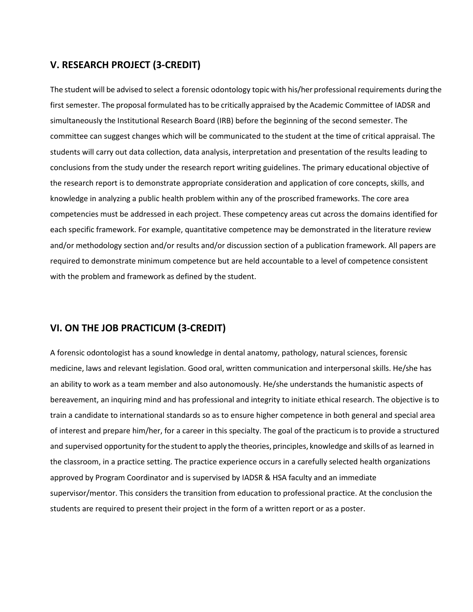## **V. RESEARCH PROJECT (3-CREDIT)**

The student will be advised to select a forensic odontology topic with his/her professional requirements during the first semester. The proposal formulated hasto be critically appraised by the Academic Committee of IADSR and simultaneously the Institutional Research Board (IRB) before the beginning of the second semester. The committee can suggest changes which will be communicated to the student at the time of critical appraisal. The students will carry out data collection, data analysis, interpretation and presentation of the results leading to conclusions from the study under the research report writing guidelines. The primary educational objective of the research report is to demonstrate appropriate consideration and application of core concepts, skills, and knowledge in analyzing a public health problem within any of the proscribed frameworks. The core area competencies must be addressed in each project. These competency areas cut across the domains identified for each specific framework. For example, quantitative competence may be demonstrated in the literature review and/or methodology section and/or results and/or discussion section of a publication framework. All papers are required to demonstrate minimum competence but are held accountable to a level of competence consistent with the problem and framework as defined by the student.

## **VI. ON THE JOB PRACTICUM (3-CREDIT)**

A forensic odontologist has a sound knowledge in dental anatomy, pathology, natural sciences, forensic medicine, laws and relevant legislation. Good oral, written communication and interpersonal skills. He/she has an ability to work as a team member and also autonomously. He/she understands the humanistic aspects of bereavement, an inquiring mind and has professional and integrity to initiate ethical research. The objective is to train a candidate to international standards so as to ensure higher competence in both general and special area of interest and prepare him/her, for a career in this specialty. The goal of the practicum isto provide a structured and supervised opportunity forthe studentto apply the theories, principles, knowledge and skills of as learned in the classroom, in a practice setting. The practice experience occurs in a carefully selected health organizations approved by Program Coordinator and is supervised by IADSR & HSA faculty and an immediate supervisor/mentor. This considers the transition from education to professional practice. At the conclusion the students are required to present their project in the form of a written report or as a poster.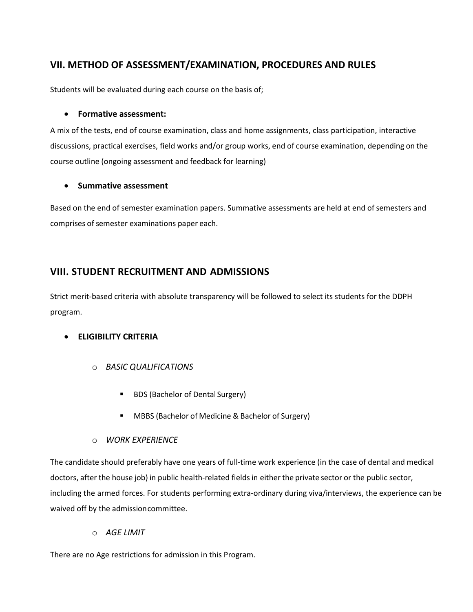## **VII. METHOD OF ASSESSMENT/EXAMINATION, PROCEDURES AND RULES**

Students will be evaluated during each course on the basis of;

#### • **Formative assessment:**

A mix of the tests, end of course examination, class and home assignments, class participation, interactive discussions, practical exercises, field works and/or group works, end of course examination, depending on the course outline (ongoing assessment and feedback for learning)

#### • **Summative assessment**

Based on the end of semester examination papers. Summative assessments are held at end of semesters and comprises of semester examinations paper each.

## **VIII. STUDENT RECRUITMENT AND ADMISSIONS**

Strict merit-based criteria with absolute transparency will be followed to select its students for the DDPH program.

#### • **ELIGIBILITY CRITERIA**

- o *BASIC QUALIFICATIONS*
	- **BDS (Bachelor of Dental Surgery)**
	- MBBS (Bachelor of Medicine & Bachelor of Surgery)
- o *WORK EXPERIENCE*

The candidate should preferably have one years of full-time work experience (in the case of dental and medical doctors, after the house job) in public health-related fieldsin either the private sector or the public sector, including the armed forces. For students performing extra-ordinary during viva/interviews, the experience can be waived off by the admissioncommittee.

o *AGE LIMIT*

There are no Age restrictions for admission in this Program.